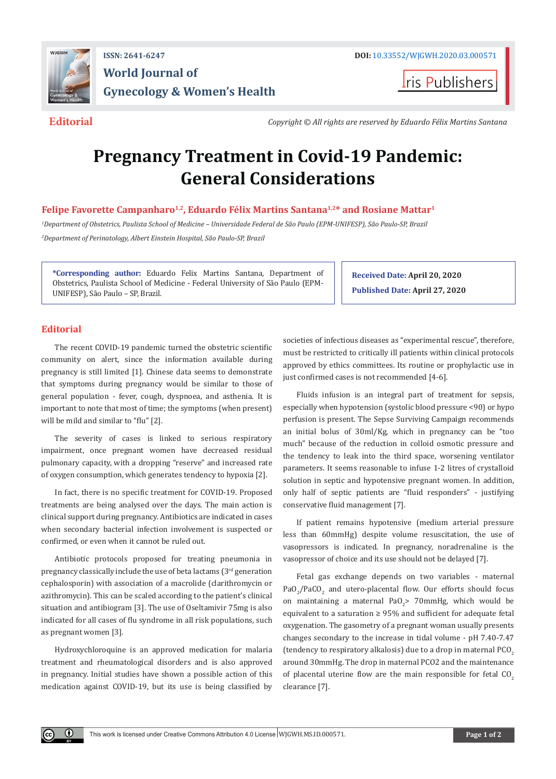

**ISSN: 2641-6247 DOI:** [10.33552/WJGWH.2020.03.000571](http://dx.doi.org/10.33552/WJGWH.2020.03.000571) **World Journal of Gynecology & Women's Health**

**I**ris Publishers

**Editorial** *Copyright © All rights are reserved by Eduardo Félix Martins Santana*

# **Pregnancy Treatment in Covid-19 Pandemic: General Considerations**

Felipe Favorette Campanharo<sup>1,2</sup>, Eduardo Félix Martins Santana<sup>1,2\*</sup> and Rosiane Mattar<sup>1</sup>

*1 Department of Obstetrics, Paulista School of Medicine – Universidade Federal de São Paulo (EPM-UNIFESP), São Paulo-SP, Brazil 2 Department of Perinatology, Albert Einstein Hospital, São Paulo-SP, Brazil*

**\*Corresponding author:** Eduardo Felix Martins Santana, Department of Obstetrics, Paulista School of Medicine - Federal University of São Paulo (EPM-UNIFESP), São Paulo – SP, Brazil.

**Received Date: April 20, 2020 Published Date: April 27, 2020**

# **Editorial**

 $\bf{0}$ 

The recent COVID-19 pandemic turned the obstetric scientific community on alert, since the information available during pregnancy is still limited [1]. Chinese data seems to demonstrate that symptoms during pregnancy would be similar to those of general population - fever, cough, dyspnoea, and asthenia. It is important to note that most of time; the symptoms (when present) will be mild and similar to "flu" [2].

The severity of cases is linked to serious respiratory impairment, once pregnant women have decreased residual pulmonary capacity, with a dropping "reserve" and increased rate of oxygen consumption, which generates tendency to hypoxia [2].

In fact, there is no specific treatment for COVID-19. Proposed treatments are being analysed over the days. The main action is clinical support during pregnancy. Antibiotics are indicated in cases when secondary bacterial infection involvement is suspected or confirmed, or even when it cannot be ruled out.

Antibiotic protocols proposed for treating pneumonia in pregnancy classically include the use of beta lactams (3rd generation cephalosporin) with association of a macrolide (clarithromycin or azithromycin). This can be scaled according to the patient's clinical situation and antibiogram [3]. The use of Oseltamivir 75mg is also indicated for all cases of flu syndrome in all risk populations, such as pregnant women [3].

Hydroxychloroquine is an approved medication for malaria treatment and rheumatological disorders and is also approved in pregnancy. Initial studies have shown a possible action of this medication against COVID-19, but its use is being classified by

societies of infectious diseases as "experimental rescue", therefore, must be restricted to critically ill patients within clinical protocols approved by ethics committees. Its routine or prophylactic use in just confirmed cases is not recommended [4-6].

Fluids infusion is an integral part of treatment for sepsis, especially when hypotension (systolic blood pressure <90) or hypo perfusion is present. The Sepse Surviving Campaign recommends an initial bolus of 30ml/Kg, which in pregnancy can be "too much" because of the reduction in colloid osmotic pressure and the tendency to leak into the third space, worsening ventilator parameters. It seems reasonable to infuse 1-2 litres of crystalloid solution in septic and hypotensive pregnant women. In addition, only half of septic patients are "fluid responders" - justifying conservative fluid management [7].

If patient remains hypotensive (medium arterial pressure less than 60mmHg) despite volume resuscitation, the use of vasopressors is indicated. In pregnancy, noradrenaline is the vasopressor of choice and its use should not be delayed [7].

Fetal gas exchange depends on two variables - maternal  $PaO_2/PaCO_2$  and utero-placental flow. Our efforts should focus on maintaining a maternal Pa $0<sub>2</sub>$ > 70mmHg, which would be equivalent to a saturation  $\geq$  95% and sufficient for adequate fetal oxygenation. The gasometry of a pregnant woman usually presents changes secondary to the increase in tidal volume - pH 7.40-7.47 (tendency to respiratory alkalosis) due to a drop in maternal PCO<sub>2</sub> around 30mmHg. The drop in maternal PCO2 and the maintenance of placental uterine flow are the main responsible for fetal  $CO<sub>2</sub>$ clearance [7].